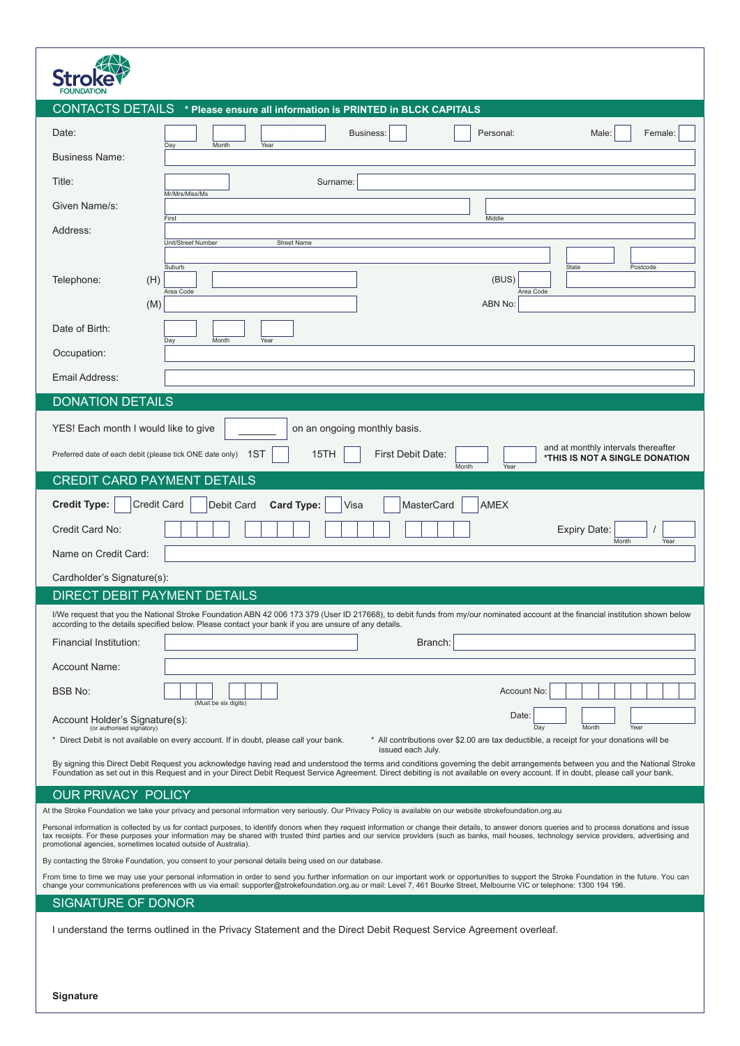| <b>CONTACTS DETAILS</b> * Please ensure all information is PRINTED in BLCK CAPITALS                                                                                                                                                                                                                                                                                                                                                                                      |  |
|--------------------------------------------------------------------------------------------------------------------------------------------------------------------------------------------------------------------------------------------------------------------------------------------------------------------------------------------------------------------------------------------------------------------------------------------------------------------------|--|
| Date:<br>Personal:<br>Male:<br>Female:<br>Business:                                                                                                                                                                                                                                                                                                                                                                                                                      |  |
| Day<br>Month<br>Year<br><b>Business Name:</b>                                                                                                                                                                                                                                                                                                                                                                                                                            |  |
| Title:<br>Surname:                                                                                                                                                                                                                                                                                                                                                                                                                                                       |  |
| Mr/Mrs/Miss/Ms<br>Given Name/s:                                                                                                                                                                                                                                                                                                                                                                                                                                          |  |
| Middle<br>First<br>Address:                                                                                                                                                                                                                                                                                                                                                                                                                                              |  |
| Unit/Street Number<br><b>Street Name</b>                                                                                                                                                                                                                                                                                                                                                                                                                                 |  |
| Suburb<br>State<br>Postcode<br>Telephone:<br>(H)<br>(BUS)                                                                                                                                                                                                                                                                                                                                                                                                                |  |
| Area Code<br>Area Code<br>(M)<br>ABN No:                                                                                                                                                                                                                                                                                                                                                                                                                                 |  |
| Date of Birth:                                                                                                                                                                                                                                                                                                                                                                                                                                                           |  |
| Day<br>Month<br>Year<br>Occupation:                                                                                                                                                                                                                                                                                                                                                                                                                                      |  |
| Email Address:                                                                                                                                                                                                                                                                                                                                                                                                                                                           |  |
| <b>DONATION DETAILS</b>                                                                                                                                                                                                                                                                                                                                                                                                                                                  |  |
| YES! Each month I would like to give<br>on an ongoing monthly basis.                                                                                                                                                                                                                                                                                                                                                                                                     |  |
| and at monthly intervals thereafter<br>Preferred date of each debit (please tick ONE date only) 1ST<br>15TH<br>First Debit Date:<br>*THIS IS NOT A SINGLE DONATION                                                                                                                                                                                                                                                                                                       |  |
| Month<br>Year<br><b>CREDIT CARD PAYMENT DETAILS</b>                                                                                                                                                                                                                                                                                                                                                                                                                      |  |
| <b>Credit Card</b><br><b>Credit Type:</b>                                                                                                                                                                                                                                                                                                                                                                                                                                |  |
| <b>Card Type:</b><br>Debit Card<br>Visa<br>MasterCard<br><b>AMEX</b><br>Credit Card No:<br><b>Expiry Date:</b>                                                                                                                                                                                                                                                                                                                                                           |  |
| Month<br>Year<br>Name on Credit Card:                                                                                                                                                                                                                                                                                                                                                                                                                                    |  |
| Cardholder's Signature(s):                                                                                                                                                                                                                                                                                                                                                                                                                                               |  |
| DIRECT DEBIT PAYMENT DETAILS                                                                                                                                                                                                                                                                                                                                                                                                                                             |  |
| I/We request that you the National Stroke Foundation ABN 42 006 173 379 (User ID 217668), to debit funds from my/our nominated account at the financial institution shown below<br>according to the details specified below. Please contact your bank if you are unsure of any details.                                                                                                                                                                                  |  |
| Financial Institution:<br>Branch:                                                                                                                                                                                                                                                                                                                                                                                                                                        |  |
| <b>Account Name:</b>                                                                                                                                                                                                                                                                                                                                                                                                                                                     |  |
| <b>BSB No:</b><br>Account No:                                                                                                                                                                                                                                                                                                                                                                                                                                            |  |
| (Must be six digits)<br>Date:<br>Account Holder's Signature(s):<br>(or authorised signatory)                                                                                                                                                                                                                                                                                                                                                                             |  |
| Month<br>Day<br>Year<br>* Direct Debit is not available on every account. If in doubt, please call your bank.<br>* All contributions over \$2.00 are tax deductible, a receipt for your donations will be<br>issued each July.                                                                                                                                                                                                                                           |  |
| By signing this Direct Debit Request you acknowledge having read and understood the terms and conditions governing the debit arrangements between you and the National Stroke<br>Foundation as set out in this Request and in your Direct Debit Request Service Agreement. Direct debiting is not available on every account. If in doubt, please call your bank.                                                                                                        |  |
| <b>OUR PRIVACY POLICY</b>                                                                                                                                                                                                                                                                                                                                                                                                                                                |  |
| At the Stroke Foundation we take your privacy and personal information very seriously. Our Privacy Policy is available on our website strokefoundation.org.au                                                                                                                                                                                                                                                                                                            |  |
| Personal information is collected by us for contact purposes, to identify donors when they request information or change their details, to answer donors queries and to process donations and issue<br>tax receipts. For these purposes your information may be shared with trusted third parties and our service providers (such as banks, mail houses, technology service providers, advertising and<br>promotional agencies, sometimes located outside of Australia). |  |
| By contacting the Stroke Foundation, you consent to your personal details being used on our database.                                                                                                                                                                                                                                                                                                                                                                    |  |
| From time to time we may use your personal information in order to send you further information on our important work or opportunities to support the Stroke Foundation in the future. You can<br>change your communications preferences with us via email: supporter@strokefoundation.org.au or mail: Level 7, 461 Bourke Street, Melbourne VIC or telephone: 1300 194 196.                                                                                             |  |
| SIGNATURE OF DONOR                                                                                                                                                                                                                                                                                                                                                                                                                                                       |  |
| I understand the terms outlined in the Privacy Statement and the Direct Debit Request Service Agreement overleaf.                                                                                                                                                                                                                                                                                                                                                        |  |
|                                                                                                                                                                                                                                                                                                                                                                                                                                                                          |  |
|                                                                                                                                                                                                                                                                                                                                                                                                                                                                          |  |